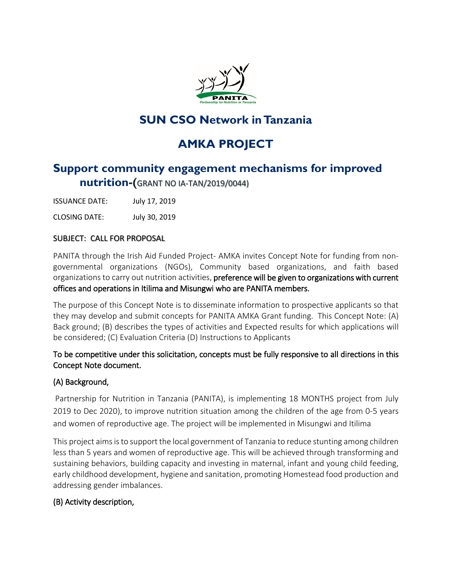

# **SUN CSO Network in Tanzania**

# **AMKA PROJECT**

## **Support community engagement mechanisms for improved nutrition-(**GRANT NO IA-TAN/2019/0044)

ISSUANCE DATE: July 17, 2019

CLOSING DATE: July 30, 2019

#### SUBJECT: CALL FOR PROPOSAL

PANITA through the Irish Aid Funded Project- AMKA invites Concept Note for funding from nongovernmental organizations (NGOs), Community based organizations, and faith based organizations to carry out nutrition activities, preference will be given to organizations with current offices and operations in Itilima and Misungwi who are PANITA members.

The purpose of this Concept Note is to disseminate information to prospective applicants so that they may develop and submit concepts for PANITA AMKA Grant funding. This Concept Note: (A) Back ground; (B) describes the types of activities and Expected results for which applications will be considered; (C) Evaluation Criteria (D) Instructions to Applicants

#### To be competitive under this solicitation, concepts must be fully responsive to all directions in this Concept Note document.

#### (A) Background,

Partnership for Nutrition in Tanzania (PANITA), is implementing 18 MONTHS project from July 2019 to Dec 2020), to improve nutrition situation among the children of the age from 0-5 years and women of reproductive age. The project will be implemented in Misungwi and Itilima

This project aims is to support the local government of Tanzania to reduce stunting among children less than 5 years and women of reproductive age. This will be achieved through transforming and sustaining behaviors, building capacity and investing in maternal, infant and young child feeding, early childhood development, hygiene and sanitation, promoting Homestead food production and addressing gender imbalances.

## (B) Activity description,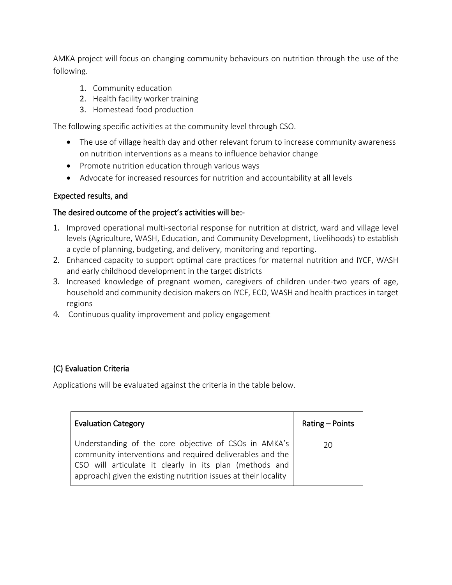AMKA project will focus on changing community behaviours on nutrition through the use of the following.

- 1. Community education
- 2. Health facility worker training
- 3. Homestead food production

The following specific activities at the community level through CSO.

- The use of village health day and other relevant forum to increase community awareness on nutrition interventions as a means to influence behavior change
- Promote nutrition education through various ways
- Advocate for increased resources for nutrition and accountability at all levels

#### Expected results, and

#### The desired outcome of the project's activities will be:-

- 1. Improved operational multi-sectorial response for nutrition at district, ward and village level levels (Agriculture, WASH, Education, and Community Development, Livelihoods) to establish a cycle of planning, budgeting, and delivery, monitoring and reporting.
- 2. Enhanced capacity to support optimal care practices for maternal nutrition and IYCF, WASH and early childhood development in the target districts
- 3. Increased knowledge of pregnant women, caregivers of children under-two years of age, household and community decision makers on IYCF, ECD, WASH and health practices in target regions
- 4. Continuous quality improvement and policy engagement

## (C) Evaluation Criteria

Applications will be evaluated against the criteria in the table below.

| <b>Evaluation Category</b>                                                                                                                                                                                                                         | Rating – Points |
|----------------------------------------------------------------------------------------------------------------------------------------------------------------------------------------------------------------------------------------------------|-----------------|
| Understanding of the core objective of CSOs in AMKA's<br>community interventions and required deliverables and the<br>  CSO will articulate it clearly in its plan (methods and<br>approach) given the existing nutrition issues at their locality | 20              |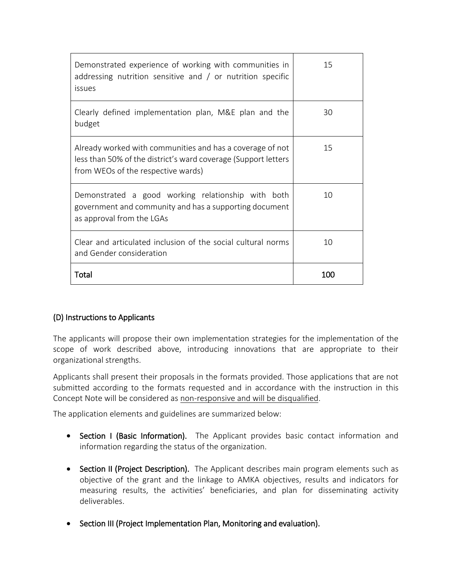| Demonstrated experience of working with communities in<br>addressing nutrition sensitive and $/$ or nutrition specific<br>issues                                  | 15  |
|-------------------------------------------------------------------------------------------------------------------------------------------------------------------|-----|
| Clearly defined implementation plan, M&E plan and the<br>budget                                                                                                   | 30  |
| Already worked with communities and has a coverage of not<br>less than 50% of the district's ward coverage (Support letters<br>from WEOs of the respective wards) | 15  |
| Demonstrated a good working relationship with both<br>government and community and has a supporting document<br>as approval from the LGAs                         | 10  |
| Clear and articulated inclusion of the social cultural norms<br>and Gender consideration                                                                          | 10  |
| Total                                                                                                                                                             | 100 |

#### (D) Instructions to Applicants

The applicants will propose their own implementation strategies for the implementation of the scope of work described above, introducing innovations that are appropriate to their organizational strengths.

Applicants shall present their proposals in the formats provided. Those applications that are not submitted according to the formats requested and in accordance with the instruction in this Concept Note will be considered as non-responsive and will be disqualified.

The application elements and guidelines are summarized below:

- Section I (Basic Information). The Applicant provides basic contact information and information regarding the status of the organization.
- Section II (Project Description). The Applicant describes main program elements such as objective of the grant and the linkage to AMKA objectives, results and indicators for measuring results, the activities' beneficiaries, and plan for disseminating activity deliverables.
- Section III (Project Implementation Plan, Monitoring and evaluation).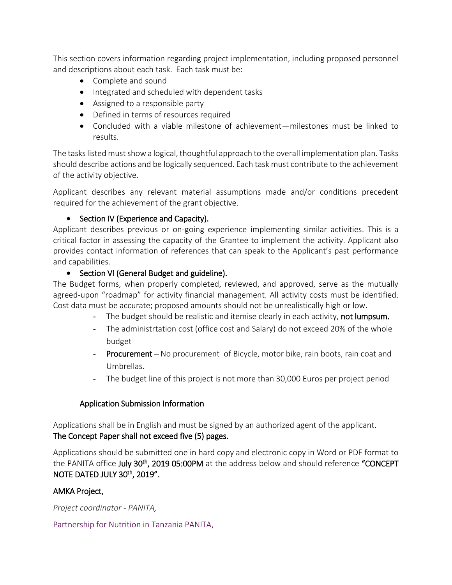This section covers information regarding project implementation, including proposed personnel and descriptions about each task. Each task must be:

- Complete and sound
- Integrated and scheduled with dependent tasks
- Assigned to a responsible party
- Defined in terms of resources required
- Concluded with a viable milestone of achievement—milestones must be linked to results.

The tasks listed must show a logical, thoughtful approach to the overall implementation plan. Tasks should describe actions and be logically sequenced. Each task must contribute to the achievement of the activity objective.

Applicant describes any relevant material assumptions made and/or conditions precedent required for the achievement of the grant objective.

#### • Section IV (Experience and Capacity).

Applicant describes previous or on-going experience implementing similar activities. This is a critical factor in assessing the capacity of the Grantee to implement the activity. Applicant also provides contact information of references that can speak to the Applicant's past performance and capabilities.

#### • Section VI (General Budget and guideline).

The Budget forms, when properly completed, reviewed, and approved, serve as the mutually agreed-upon "roadmap" for activity financial management. All activity costs must be identified. Cost data must be accurate; proposed amounts should not be unrealistically high or low.

- The budget should be realistic and itemise clearly in each activity, not lumpsum.
- The administrtation cost (office cost and Salary) do not exceed 20% of the whole budget
- Procurement No procurement of Bicycle, motor bike, rain boots, rain coat and Umbrellas.
- The budget line of this project is not more than 30,000 Euros per project period

#### Application Submission Information

Applications shall be in English and must be signed by an authorized agent of the applicant. The Concept Paper shall not exceed five (5) pages.

Applications should be submitted one in hard copy and electronic copy in Word or PDF format to the PANITA office July 30<sup>th</sup>, 2019 05:00PM at the address below and should reference "CONCEPT NOTE DATED JULY 30th, 2019".

#### AMKA Project,

*Project coordinator - PANITA,*

#### Partnership for Nutrition in Tanzania PANITA,